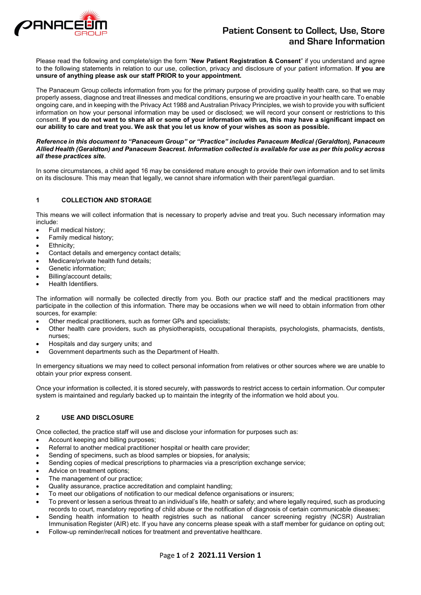

# **Patient Consent to Collect, Use, Store and Share Information**

Please read the following and complete/sign the form "**New Patient Registration & Consent**" if you understand and agree to the following statements in relation to our use, collection, privacy and disclosure of your patient information. **If you are unsure of anything please ask our staff PRIOR to your appointment.**

The Panaceum Group collects information from you for the primary purpose of providing quality health care, so that we may properly assess, diagnose and treat illnesses and medical conditions, ensuring we are proactive in your health care. To enable ongoing care, and in keeping with the Privacy Act 1988 and Australian Privacy Principles, we wish to provide you with sufficient information on how your personal information may be used or disclosed; we will record your consent or restrictions to this consent. **If you do not want to share all or some of your information with us, this may have a significant impact on our ability to care and treat you. We ask that you let us know of your wishes as soon as possible.**

#### *Reference in this document to "Panaceum Group" or "Practice" includes Panaceum Medical (Geraldton), Panaceum Allied Health (Geraldton) and Panaceum Seacrest. Information collected is available for use as per this policy across all these practices site.*

In some circumstances, a child aged 16 may be considered mature enough to provide their own information and to set limits on its disclosure. This may mean that legally, we cannot share information with their parent/legal guardian.

### **1 COLLECTION AND STORAGE**

This means we will collect information that is necessary to properly advise and treat you. Such necessary information may include:

- Full medical history;
- Family medical history;
- Ethnicity;
- Contact details and emergency contact details;
- Medicare/private health fund details;
- Genetic information:
- Billing/account details;
- Health Identifiers.

The information will normally be collected directly from you. Both our practice staff and the medical practitioners may participate in the collection of this information. There may be occasions when we will need to obtain information from other sources, for example:

- Other medical practitioners, such as former GPs and specialists;
- Other health care providers, such as physiotherapists, occupational therapists, psychologists, pharmacists, dentists, nurses;
- Hospitals and day surgery units; and
- Government departments such as the Department of Health.

In emergency situations we may need to collect personal information from relatives or other sources where we are unable to obtain your prior express consent.

Once your information is collected, it is stored securely, with passwords to restrict access to certain information. Our computer system is maintained and regularly backed up to maintain the integrity of the information we hold about you.

#### **2 USE AND DISCLOSURE**

Once collected, the practice staff will use and disclose your information for purposes such as:

- Account keeping and billing purposes;
- Referral to another medical practitioner hospital or health care provider;
- Sending of specimens, such as blood samples or biopsies, for analysis;
- Sending copies of medical prescriptions to pharmacies via a prescription exchange service;
- Advice on treatment options;
- The management of our practice;
- Quality assurance, practice accreditation and complaint handling;
- To meet our obligations of notification to our medical defence organisations or insurers;
- To prevent or lessen a serious threat to an individual's life, health or safety; and where legally required, such as producing records to court, mandatory reporting of child abuse or the notification of diagnosis of certain communicable diseases;
- Sending health information to health registries such as national cancer screening registry (NCSR) Australian Immunisation Register (AIR) etc. If you have any concerns please speak with a staff member for guidance on opting out;
- Follow-up reminder/recall notices for treatment and preventative healthcare.